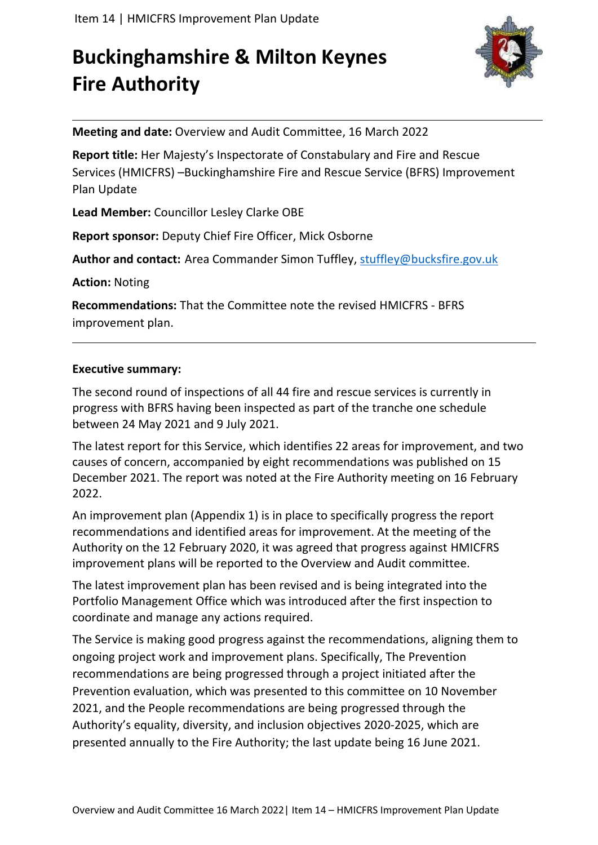# **Buckinghamshire & Milton Keynes Fire Authority**



**Meeting and date:** Overview and Audit Committee, 16 March 2022

**Report title:** Her Majesty's Inspectorate of Constabulary and Fire and Rescue Services (HMICFRS) –Buckinghamshire Fire and Rescue Service (BFRS) Improvement Plan Update

**Lead Member:** Councillor Lesley Clarke OBE

**Report sponsor:** Deputy Chief Fire Officer, Mick Osborne

**Author and contact:** Area Commander Simon Tuffley, [stuffley@bucksfire.gov.uk](mailto:stuffley@bucksfire.gov.uk)

**Action:** Noting

**Recommendations:** That the Committee note the revised HMICFRS - BFRS improvement plan.

#### **Executive summary:**

The second round of inspections of all 44 fire and rescue services is currently in progress with BFRS having been inspected as part of the tranche one schedule between 24 May 2021 and 9 July 2021.

The latest report for this Service, which identifies 22 areas for improvement, and two causes of concern, accompanied by eight recommendations was published on 15 December 2021. The report was noted at the Fire Authority meeting on 16 February 2022.

An improvement plan (Appendix 1) is in place to specifically progress the report recommendations and identified areas for improvement. At the meeting of the Authority on the 12 February 2020, it was agreed that progress against HMICFRS improvement plans will be reported to the Overview and Audit committee.

The latest improvement plan has been revised and is being integrated into the Portfolio Management Office which was introduced after the first inspection to coordinate and manage any actions required.

The Service is making good progress against the recommendations, aligning them to ongoing project work and improvement plans. Specifically, The Prevention recommendations are being progressed through a project initiated after the Prevention evaluation, which was presented to this committee on 10 November 2021, and the People recommendations are being progressed through the Authority's equality, diversity, and inclusion objectives 2020-2025, which are presented annually to the Fire Authority; the last update being 16 June 2021.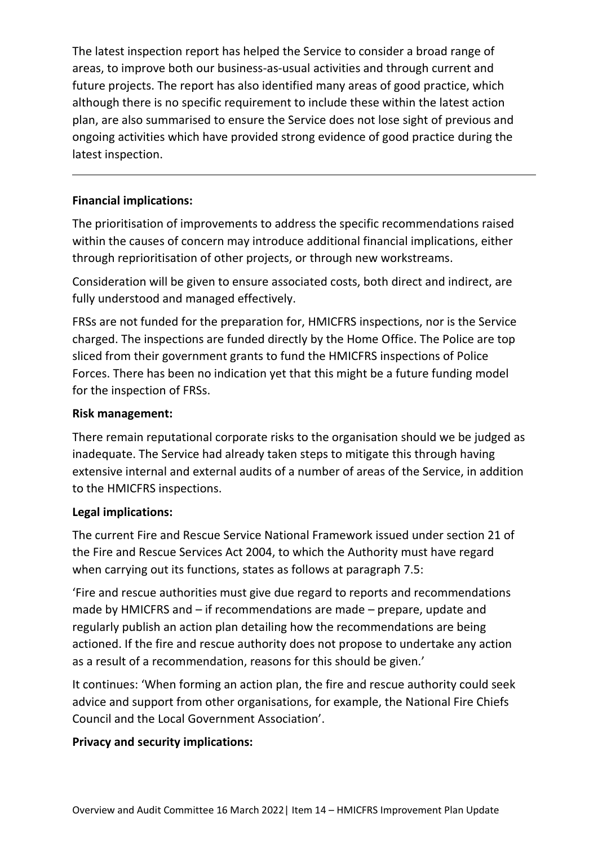The latest inspection report has helped the Service to consider a broad range of areas, to improve both our business-as-usual activities and through current and future projects. The report has also identified many areas of good practice, which although there is no specific requirement to include these within the latest action plan, are also summarised to ensure the Service does not lose sight of previous and ongoing activities which have provided strong evidence of good practice during the latest inspection.

#### **Financial implications:**

The prioritisation of improvements to address the specific recommendations raised within the causes of concern may introduce additional financial implications, either through reprioritisation of other projects, or through new workstreams.

Consideration will be given to ensure associated costs, both direct and indirect, are fully understood and managed effectively.

FRSs are not funded for the preparation for, HMICFRS inspections, nor is the Service charged. The inspections are funded directly by the Home Office. The Police are top sliced from their government grants to fund the HMICFRS inspections of Police Forces. There has been no indication yet that this might be a future funding model for the inspection of FRSs.

#### **Risk management:**

There remain reputational corporate risks to the organisation should we be judged as inadequate. The Service had already taken steps to mitigate this through having extensive internal and external audits of a number of areas of the Service, in addition to the HMICFRS inspections.

#### **Legal implications:**

The current Fire and Rescue Service National Framework issued under section 21 of the Fire and Rescue Services Act 2004, to which the Authority must have regard when carrying out its functions, states as follows at paragraph 7.5:

'Fire and rescue authorities must give due regard to reports and recommendations made by HMICFRS and – if recommendations are made – prepare, update and regularly publish an action plan detailing how the recommendations are being actioned. If the fire and rescue authority does not propose to undertake any action as a result of a recommendation, reasons for this should be given.'

It continues: 'When forming an action plan, the fire and rescue authority could seek advice and support from other organisations, for example, the National Fire Chiefs Council and the Local Government Association'.

#### **Privacy and security implications:**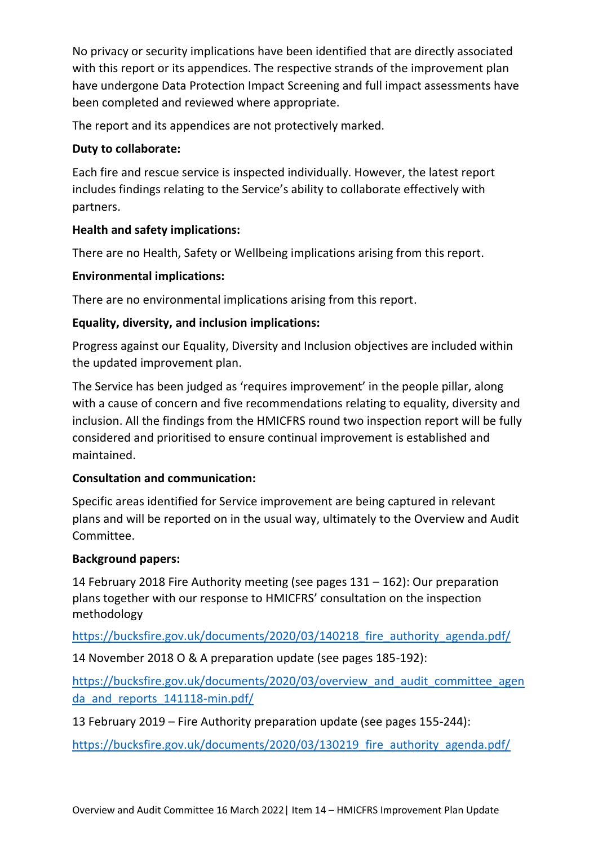No privacy or security implications have been identified that are directly associated with this report or its appendices. The respective strands of the improvement plan have undergone Data Protection Impact Screening and full impact assessments have been completed and reviewed where appropriate.

The report and its appendices are not protectively marked.

#### **Duty to collaborate:**

Each fire and rescue service is inspected individually. However, the latest report includes findings relating to the Service's ability to collaborate effectively with partners.

#### **Health and safety implications:**

There are no Health, Safety or Wellbeing implications arising from this report.

#### **Environmental implications:**

There are no environmental implications arising from this report.

#### **Equality, diversity, and inclusion implications:**

Progress against our Equality, Diversity and Inclusion objectives are included within the updated improvement plan.

The Service has been judged as 'requires improvement' in the people pillar, along with a cause of concern and five recommendations relating to equality, diversity and inclusion. All the findings from the HMICFRS round two inspection report will be fully considered and prioritised to ensure continual improvement is established and maintained.

#### **Consultation and communication:**

Specific areas identified for Service improvement are being captured in relevant plans and will be reported on in the usual way, ultimately to the Overview and Audit Committee.

#### **Background papers:**

14 February 2018 Fire Authority meeting (see pages 131 – 162): Our preparation plans together with our response to HMICFRS' consultation on the inspection methodology

https://bucksfire.gov.uk/documents/2020/03/140218 fire authority agenda.pdf/

14 November 2018 O & A preparation update (see pages 185-192):

[https://bucksfire.gov.uk/documents/2020/03/overview\\_and\\_audit\\_committee\\_agen](https://bucksfire.gov.uk/documents/2020/03/overview_and_audit_committee_agenda_and_reports_141118-min.pdf/) da and reports 141118-min.pdf/

13 February 2019 – Fire Authority preparation update (see pages 155-244):

https://bucksfire.gov.uk/documents/2020/03/130219 fire authority agenda.pdf/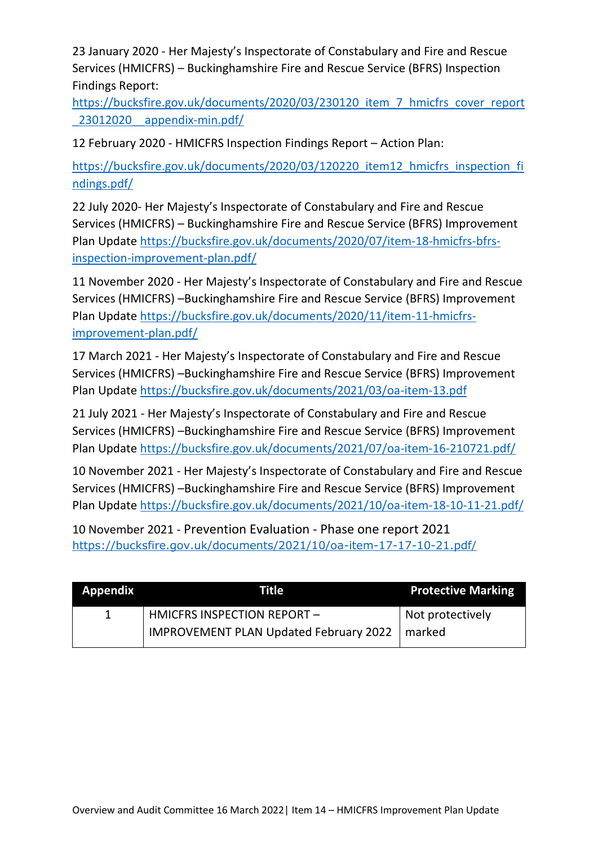23 January 2020 - Her Majesty's Inspectorate of Constabulary and Fire and Rescue Services (HMICFRS) – Buckinghamshire Fire and Rescue Service (BFRS) Inspection Findings Report:

[https://bucksfire.gov.uk/documents/2020/03/230120\\_item\\_7\\_hmicfrs\\_cover\\_report](https://bucksfire.gov.uk/documents/2020/03/230120_item_7_hmicfrs_cover_report_23012020__appendix-min.pdf/) [\\_23012020\\_\\_appendix-min.pdf/](https://bucksfire.gov.uk/documents/2020/03/230120_item_7_hmicfrs_cover_report_23012020__appendix-min.pdf/)

12 February 2020 - HMICFRS Inspection Findings Report – Action Plan:

[https://bucksfire.gov.uk/documents/2020/03/120220\\_item12\\_hmicfrs\\_inspection\\_fi](https://bucksfire.gov.uk/documents/2020/03/120220_item12_hmicfrs_inspection_findings.pdf/) [ndings.pdf/](https://bucksfire.gov.uk/documents/2020/03/120220_item12_hmicfrs_inspection_findings.pdf/)

22 July 2020- Her Majesty's Inspectorate of Constabulary and Fire and Rescue Services (HMICFRS) – Buckinghamshire Fire and Rescue Service (BFRS) Improvement Plan Update [https://bucksfire.gov.uk/documents/2020/07/item-18-hmicfrs-bfrs](https://bucksfire.gov.uk/documents/2020/07/item-18-hmicfrs-bfrs-inspection-improvement-plan.pdf/)[inspection-improvement-plan.pdf/](https://bucksfire.gov.uk/documents/2020/07/item-18-hmicfrs-bfrs-inspection-improvement-plan.pdf/)

11 November 2020 - Her Majesty's Inspectorate of Constabulary and Fire and Rescue Services (HMICFRS) –Buckinghamshire Fire and Rescue Service (BFRS) Improvement Plan Update [https://bucksfire.gov.uk/documents/2020/11/item-11-hmicfrs](https://bucksfire.gov.uk/documents/2020/11/item-11-hmicfrs-improvement-plan.pdf/)[improvement-plan.pdf/](https://bucksfire.gov.uk/documents/2020/11/item-11-hmicfrs-improvement-plan.pdf/)

17 March 2021 - Her Majesty's Inspectorate of Constabulary and Fire and Rescue Services (HMICFRS) –Buckinghamshire Fire and Rescue Service (BFRS) Improvement Plan Update <https://bucksfire.gov.uk/documents/2021/03/oa-item-13.pdf>

21 July 2021 - Her Majesty's Inspectorate of Constabulary and Fire and Rescue Services (HMICFRS) –Buckinghamshire Fire and Rescue Service (BFRS) Improvement Plan Update <https://bucksfire.gov.uk/documents/2021/07/oa-item-16-210721.pdf/>

10 November 2021 - Her Majesty's Inspectorate of Constabulary and Fire and Rescue Services (HMICFRS) –Buckinghamshire Fire and Rescue Service (BFRS) Improvement Plan Update <https://bucksfire.gov.uk/documents/2021/10/oa-item-18-10-11-21.pdf/>

10 November 2021 - Prevention Evaluation - Phase one report 2021 <https://bucksfire.gov.uk/documents/2021/10/oa-item-17-17-10-21.pdf/>

| <b>Appendix</b> | Title                                                  | <b>Protective Marking</b> |
|-----------------|--------------------------------------------------------|---------------------------|
|                 | HMICFRS INSPECTION REPORT -                            | Not protectively          |
|                 | <b>IMPROVEMENT PLAN Updated February 2022</b>   marked |                           |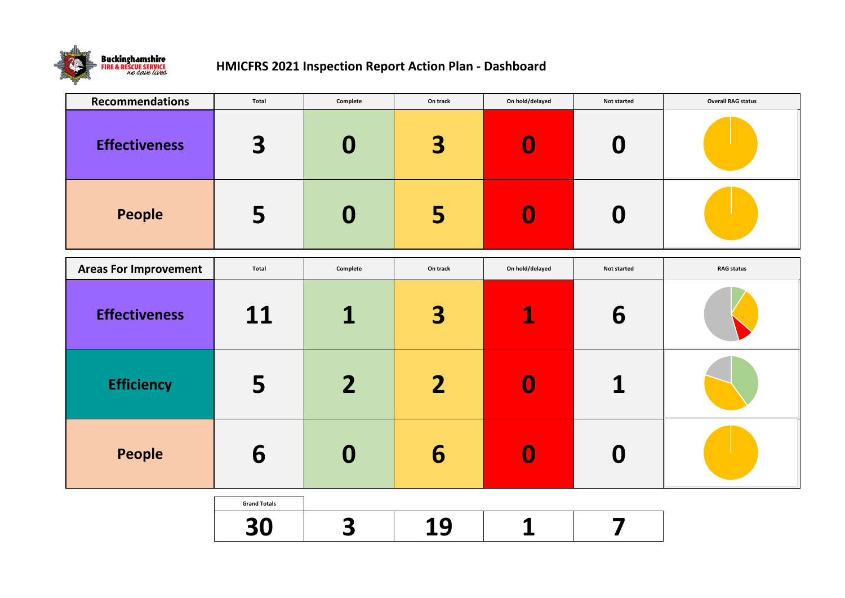

## **HMICFRS 2021 Inspection Report Action Plan - Dashboard**

| <b>Recommendations</b>       | <b>Total</b>              | Complete         | On track | On hold/delayed  | <b>Not started</b> | <b>Overall RAG status</b> |
|------------------------------|---------------------------|------------------|----------|------------------|--------------------|---------------------------|
| <b>Effectiveness</b>         | 3                         | $\boldsymbol{0}$ | 3        | $\boldsymbol{0}$ | $\boldsymbol{0}$   |                           |
| <b>People</b>                | 5                         | $\boldsymbol{0}$ | 5        | $\boldsymbol{0}$ | $\boldsymbol{0}$   |                           |
| <b>Areas For Improvement</b> | <b>Total</b>              | Complete         | On track | On hold/delayed  | <b>Not started</b> | <b>RAG status</b>         |
| <b>Effectiveness</b>         | 11                        | 1                | 3        | $\mathbf 1$      | 6                  |                           |
| <b>Efficiency</b>            | 5                         | 2                | 2        |                  |                    |                           |
| People                       | 6                         | $\mathbf 0$      | 6        | $\boldsymbol{0}$ | $\boldsymbol{0}$   |                           |
|                              | <b>Grand Totals</b><br>30 | 3                | 19       | 1                |                    |                           |

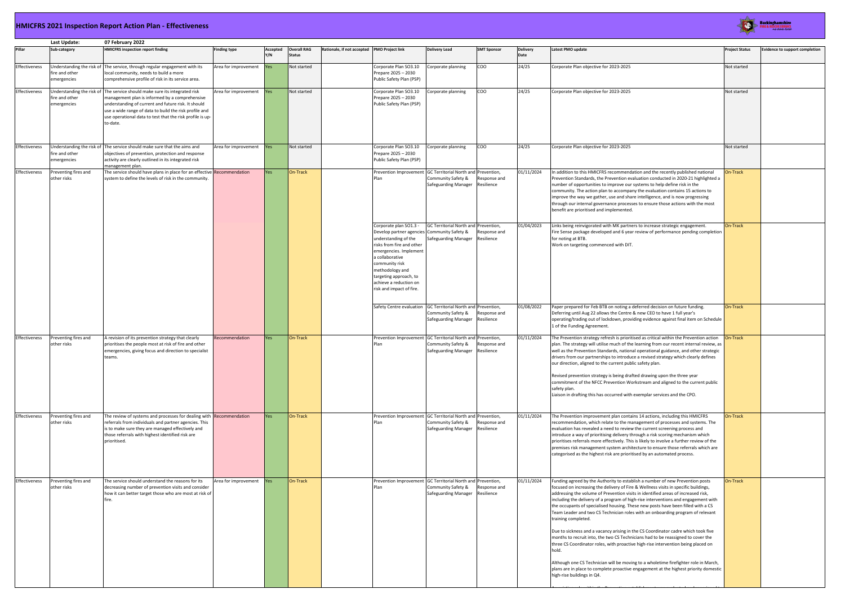#### **HMICFRS 2021 Inspection Report Action Plan - Effectiveness**

|               | Last Update:                        | 07 February 2022                                                                                                                                                                                                                                                                                                       |                      |                 |                                     |                                             |                                                                                                                                                                                                                                                                                              |                                                              |                            |                         |                                                                                                                                                                                                                                                                                                                                                                                                                                                                                                                                                                                                                                                                                                                                                                                                                                                                                                                                                                                                                                  |                     |  |
|---------------|-------------------------------------|------------------------------------------------------------------------------------------------------------------------------------------------------------------------------------------------------------------------------------------------------------------------------------------------------------------------|----------------------|-----------------|-------------------------------------|---------------------------------------------|----------------------------------------------------------------------------------------------------------------------------------------------------------------------------------------------------------------------------------------------------------------------------------------------|--------------------------------------------------------------|----------------------------|-------------------------|----------------------------------------------------------------------------------------------------------------------------------------------------------------------------------------------------------------------------------------------------------------------------------------------------------------------------------------------------------------------------------------------------------------------------------------------------------------------------------------------------------------------------------------------------------------------------------------------------------------------------------------------------------------------------------------------------------------------------------------------------------------------------------------------------------------------------------------------------------------------------------------------------------------------------------------------------------------------------------------------------------------------------------|---------------------|--|
| Pillar        | Sub-category                        | <b>HMICFRS inspection report finding</b>                                                                                                                                                                                                                                                                               | <b>Finding type</b>  | Accepted<br>Y/N | <b>Overall RAG</b><br><b>Status</b> | Rationale, if not accepted PMO Project link |                                                                                                                                                                                                                                                                                              | <b>Delivery Lead</b>                                         | <b>SMT Sponsor</b>         | <b>Delivery</b><br>Date | Latest PMO update                                                                                                                                                                                                                                                                                                                                                                                                                                                                                                                                                                                                                                                                                                                                                                                                                                                                                                                                                                                                                | <b>Project Stat</b> |  |
| Effectiveness | fire and other<br>emergencies       | Understanding the risk of The service, through regular engagement with its<br>local community, needs to build a more<br>comprehensive profile of risk in its service area.                                                                                                                                             | Area for improvement | Yes             | Not started                         |                                             | Corporate Plan SO3.10<br>Prepare 2025 - 2030<br>Public Safety Plan (PSP)                                                                                                                                                                                                                     | Corporate planning                                           | COO                        | 24/25                   | Corporate Plan objective for 2023-2025                                                                                                                                                                                                                                                                                                                                                                                                                                                                                                                                                                                                                                                                                                                                                                                                                                                                                                                                                                                           | Not started         |  |
| Effectiveness | fire and other<br>emergencies       | Understanding the risk of The service should make sure its integrated risk<br>management plan is informed by a comprehensive<br>understanding of current and future risk. It should<br>use a wide range of data to build the risk profile and<br>use operational data to test that the risk profile is up-<br>to-date. | Area for improvement | <b>Yes</b>      | Not started                         |                                             | Corporate Plan SO3.10<br>Prepare 2025 - 2030<br>Public Safety Plan (PSP)                                                                                                                                                                                                                     | Corporate planning                                           | COO                        | 24/25                   | Corporate Plan objective for 2023-2025                                                                                                                                                                                                                                                                                                                                                                                                                                                                                                                                                                                                                                                                                                                                                                                                                                                                                                                                                                                           | Not started         |  |
| Effectiveness | fire and other<br>emergencies       | Understanding the risk of The service should make sure that the aims and<br>objectives of prevention, protection and response<br>activity are clearly outlined in its integrated risk<br>management plan.                                                                                                              | Area for improvement | <b>Yes</b>      | Not started                         |                                             | Corporate Plan SO3.10<br>Prepare 2025 - 2030<br>Public Safety Plan (PSP)                                                                                                                                                                                                                     | Corporate planning                                           | COO                        | 24/25                   | Corporate Plan objective for 2023-2025                                                                                                                                                                                                                                                                                                                                                                                                                                                                                                                                                                                                                                                                                                                                                                                                                                                                                                                                                                                           | Not started         |  |
| Effectiveness | Preventing fires and<br>other risks | The service should have plans in place for an effective Recommendation<br>system to define the levels of risk in the community.                                                                                                                                                                                        |                      | Yes             | On-Track                            |                                             | Prevention Improvement GC Territorial North and Prevention,<br>Plan                                                                                                                                                                                                                          | Community Safety &<br>Safeguarding Manager                   | Response and<br>Resilience | 01/11/2024              | In addition to this HMICFRS recommendation and the recently published national<br>Prevention Standards, the Prevention evaluation conducted in 2020-21 highlighted a<br>number of opportunities to improve our systems to help define risk in the<br>community. The action plan to accompany the evaluation contains 15 actions to<br>improve the way we gather, use and share intelligence, and is now progressing<br>through our internal governance processes to ensure those actions with the most<br>benefit are prioritised and implemented.                                                                                                                                                                                                                                                                                                                                                                                                                                                                               | On-Track            |  |
|               |                                     |                                                                                                                                                                                                                                                                                                                        |                      |                 |                                     |                                             | Corporate plan SO1.3 -<br>Develop partner agencies Community Safety &<br>understanding of the<br>risks from fire and other<br>emergencies. Implement<br>a collaborative<br>community risk<br>methodology and<br>targeting approach, to<br>achieve a reduction on<br>risk and impact of fire. | GC Territorial North and Prevention,<br>Safeguarding Manager | Response and<br>Resilience | 01/04/2023              | Links being reinvigorated with MK partners to increase strategic engagement.<br>Fire Sense package developed and 6 year review of performance pending completion<br>for noting at BTB.<br>Work on targeting commenced with DIT.                                                                                                                                                                                                                                                                                                                                                                                                                                                                                                                                                                                                                                                                                                                                                                                                  | On-Track            |  |
|               |                                     |                                                                                                                                                                                                                                                                                                                        |                      |                 |                                     |                                             | Safety Centre evaluation GC Territorial North and Prevention,                                                                                                                                                                                                                                | Community Safety &<br>Safeguarding Manager                   | Response and<br>Resilience | 01/08/2022              | Paper prepared for Feb BTB on noting a deferred decision on future funding.<br>Deferring until Aug 22 allows the Centre & new CEO to have 1 full year's<br>operating/trading out of lockdown, providing evidence against final item on Schedule<br>1 of the Funding Agreement.                                                                                                                                                                                                                                                                                                                                                                                                                                                                                                                                                                                                                                                                                                                                                   | On-Track            |  |
| Effectiveness | Preventing fires and<br>other risks | A revision of its prevention strategy that clearly<br>prioritises the people most at risk of fire and other<br>emergencies, giving focus and direction to specialist<br>teams.                                                                                                                                         | Recommendation       | Yes             | On-Track                            |                                             | Prevention Improvement GC Territorial North and Prevention,<br>Plan                                                                                                                                                                                                                          | Community Safety &<br>Safeguarding Manager                   | Response and<br>Resilience | 01/11/2024              | The Prevention strategy refresh is prioritised as critical within the Prevention action<br>plan. The strategy will utilise much of the learning from our recent internal review, as<br>well as the Prevention Standards, national operational guidance, and other strategic<br>drivers from our partnerships to introduce a revised strategy which clearly defines<br>our direction, aligned to the current public safety plan.<br>Revised prevention strategy is being drafted drawing upon the three year<br>commitment of the NFCC Prevention Workstream and aligned to the current public<br>safety plan.<br>Liaison in drafting this has occurred with exemplar services and the CPO.                                                                                                                                                                                                                                                                                                                                       | <b>On-Track</b>     |  |
| Effectiveness | Preventing fires and<br>other risks | The review of systems and processes for dealing with Recommendation<br>referrals from individuals and partner agencies. This<br>is to make sure they are managed effectively and<br>those referrals with highest identified risk are<br>prioritised.                                                                   |                      | Yes             | On-Track                            |                                             | Prevention Improvement GC Territorial North and Prevention,<br>Plan                                                                                                                                                                                                                          | Community Safety &<br>Safeguarding Manager                   | Response and<br>Resilience | 01/11/2024              | The Prevention improvement plan contains 14 actions, including this HMICFRS<br>recommendation, which relate to the management of processes and systems. The<br>evaluation has revealed a need to review the current screening process and<br>introduce a way of prioritising delivery through a risk scoring mechanism which<br>prioritises referrals more effectively. This is likely to involve a further review of the<br>premises risk management system architecture to ensure those referrals which are<br>categorised as the highest risk are prioritised by an automated process.                                                                                                                                                                                                                                                                                                                                                                                                                                        | On-Track            |  |
| Effectiveness | Preventing fires and<br>other risks | The service should understand the reasons for its<br>decreasing number of prevention visits and consider<br>how it can better target those who are most at risk of<br>fire.                                                                                                                                            | Area for improvement | Yes             | On-Track                            |                                             | Prevention Improvement GC Territorial North and Prevention,<br>Plan                                                                                                                                                                                                                          | Community Safety &<br>Safeguarding Manager                   | Response and<br>Resilience | 01/11/2024              | Funding agreed by the Authority to establish a number of new Prevention posts<br>focused on increasing the delivery of Fire & Wellness visits in specific buildings,<br>addressing the volume of Prevention visits in identified areas of increased risk,<br>including the delivery of a program of high-rise interventions and engagement with<br>the occupants of specialised housing. These new posts have been filled with a CS<br>Team Leader and two CS Technician roles with an onboarding program of relevant<br>training completed.<br>Due to sickness and a vacancy arising in the CS Coordinator cadre which took five<br>months to recruit into, the two CS Technicians had to be reassigned to cover the<br>three CS Coordinator roles, with proactive high-rise intervention being placed on<br>hold.<br>Although one CS Technician will be moving to a wholetime firefighter role in March,<br>plans are in place to complete proactive engagement at the highest priority domestic<br>high-rise buildings in Q4. | On-Track            |  |



| Latest PMO update                                                                                                                                                                                                                                                                                                                                                                                                                                                                                                                                                                         | <b>Project Status</b> | <b>Evidence to support completion</b> |
|-------------------------------------------------------------------------------------------------------------------------------------------------------------------------------------------------------------------------------------------------------------------------------------------------------------------------------------------------------------------------------------------------------------------------------------------------------------------------------------------------------------------------------------------------------------------------------------------|-----------------------|---------------------------------------|
| Corporate Plan objective for 2023-2025                                                                                                                                                                                                                                                                                                                                                                                                                                                                                                                                                    | Not started           |                                       |
| Corporate Plan objective for 2023-2025                                                                                                                                                                                                                                                                                                                                                                                                                                                                                                                                                    | Not started           |                                       |
| Corporate Plan objective for 2023-2025                                                                                                                                                                                                                                                                                                                                                                                                                                                                                                                                                    | Not started           |                                       |
| In addition to this HMICFRS recommendation and the recently published national<br>Prevention Standards, the Prevention evaluation conducted in 2020-21 highlighted a<br>number of opportunities to improve our systems to help define risk in the<br>community. The action plan to accompany the evaluation contains 15 actions to<br>improve the way we gather, use and share intelligence, and is now progressing<br>through our internal governance processes to ensure those actions with the most<br>benefit are prioritised and implemented.                                        | On-Track              |                                       |
| Links being reinvigorated with MK partners to increase strategic engagement.<br>Fire Sense package developed and 6 year review of performance pending completion<br>for noting at BTB.<br>Work on targeting commenced with DIT.                                                                                                                                                                                                                                                                                                                                                           | On-Track              |                                       |
| Paper prepared for Feb BTB on noting a deferred decision on future funding.<br>Deferring until Aug 22 allows the Centre & new CEO to have 1 full year's<br>operating/trading out of lockdown, providing evidence against final item on Schedule<br>1 of the Funding Agreement.                                                                                                                                                                                                                                                                                                            | On-Track              |                                       |
| The Prevention strategy refresh is prioritised as critical within the Prevention action<br>plan. The strategy will utilise much of the learning from our recent internal review, as<br>well as the Prevention Standards, national operational guidance, and other strategic<br>drivers from our partnerships to introduce a revised strategy which clearly defines<br>our direction, aligned to the current public safety plan.                                                                                                                                                           | On-Track              |                                       |
| Revised prevention strategy is being drafted drawing upon the three year<br>commitment of the NFCC Prevention Workstream and aligned to the current public<br>safety plan.<br>Liaison in drafting this has occurred with exemplar services and the CPO.                                                                                                                                                                                                                                                                                                                                   |                       |                                       |
| The Prevention improvement plan contains 14 actions, including this HMICFRS<br>recommendation, which relate to the management of processes and systems. The<br>evaluation has revealed a need to review the current screening process and<br>introduce a way of prioritising delivery through a risk scoring mechanism which<br>prioritises referrals more effectively. This is likely to involve a further review of the<br>premises risk management system architecture to ensure those referrals which are<br>categorised as the highest risk are prioritised by an automated process. | On-Track              |                                       |
| Funding agreed by the Authority to establish a number of new Prevention posts<br>focused on increasing the delivery of Fire & Wellness visits in specific buildings,<br>addressing the volume of Prevention visits in identified areas of increased risk,<br>including the delivery of a program of high-rise interventions and engagement with<br>the occupants of specialised housing. These new posts have been filled with a CS<br>Team Leader and two CS Technician roles with an onboarding program of relevant<br>training completed.                                              | On-Track              |                                       |
| Due to sickness and a vacancy arising in the CS Coordinator cadre which took five<br>months to recruit into, the two CS Technicians had to be reassigned to cover the<br>three CS Coordinator roles, with proactive high-rise intervention being placed on<br>hold.                                                                                                                                                                                                                                                                                                                       |                       |                                       |
| Although one CS Technician will be moving to a wholetime firefighter role in March,<br>plans are in place to complete proactive engagement at the highest priority domestic<br>high-rise buildings in Q4.                                                                                                                                                                                                                                                                                                                                                                                 |                       |                                       |

An existing role within the Prevention establishment was evaluated and reassigned to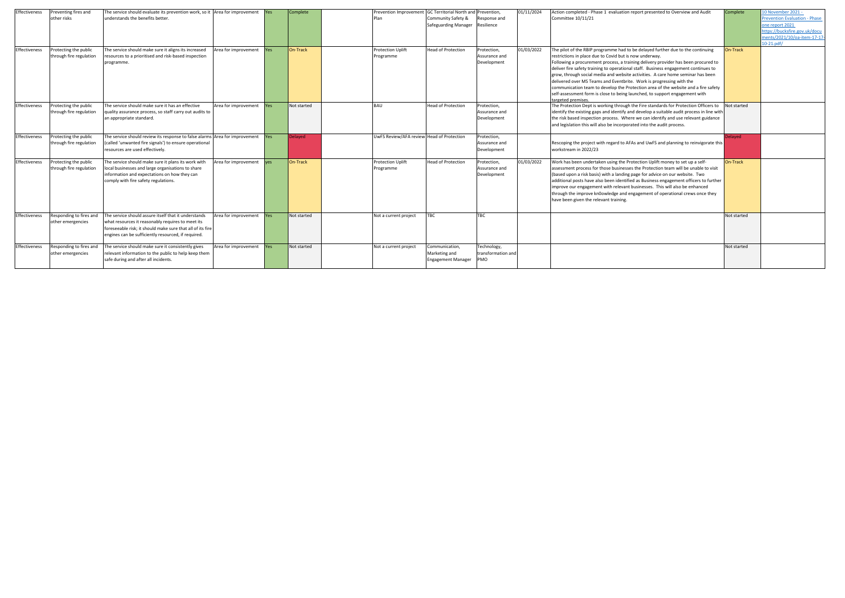| Effectiveness        | Preventing fires and<br>other risks              | The service should evaluate its prevention work, so it Area for improvement<br>understands the benefits better.                                                                                                                |                      | <b>Yes</b> | Complete        | Prevention Improvement GC Territorial North and Prevention<br>Plan | Community Safety &<br><b>Safeguarding Manager</b>            | Response and<br>Resilience                  | 01/11/2024 | Action completed - Phase 1 evaluation report presented to Overview and Audit<br>Committee 10/11/21                                                                                                                                                                                                                                                                                                                                                                                                                                                                                                                                                                            |
|----------------------|--------------------------------------------------|--------------------------------------------------------------------------------------------------------------------------------------------------------------------------------------------------------------------------------|----------------------|------------|-----------------|--------------------------------------------------------------------|--------------------------------------------------------------|---------------------------------------------|------------|-------------------------------------------------------------------------------------------------------------------------------------------------------------------------------------------------------------------------------------------------------------------------------------------------------------------------------------------------------------------------------------------------------------------------------------------------------------------------------------------------------------------------------------------------------------------------------------------------------------------------------------------------------------------------------|
| <b>Effectiveness</b> | Protecting the public<br>through fire regulation | The service should make sure it aligns its increased<br>resources to a prioritised and risk-based inspection<br>programme.                                                                                                     | Area for improvement | Yes        | On-Track        | <b>Protection Uplift</b><br>Programme                              | <b>Head of Protection</b>                                    | Protection.<br>Assurance and<br>Development | 01/03/2022 | The pilot of the RBIP programme had to be delayed further due to the continuing<br>restrictions in place due to Covid but is now underway.<br>Following a procurement process, a training delivery provider has been procured to<br>deliver fire safety training to operational staff. Business engagement continues to<br>grow, through social media and website activities. A care home seminar has been<br>delivered over MS Teams and Eventbrite. Work is progressing with the<br>communication team to develop the Protection area of the website and a fire safety<br>self-assessment form is close to being launched, to support engagement with<br>targeted premises. |
| Effectiveness        | Protecting the public<br>through fire regulation | The service should make sure it has an effective<br>quality assurance process, so staff carry out audits to<br>an appropriate standard.                                                                                        | Area for improvement | Yes        | Not started     | <b>BAU</b>                                                         | <b>Head of Protection</b>                                    | Protection,<br>Assurance and<br>Development |            | The Protection Dept is working through the Fire standards for Protection Officers to<br>identify the existing gaps and identify and develop a suitable audit process in line with<br>the risk based inspection process. Where we can identify and use relevant guidance<br>and legislation this will also be incorporated into the audit process.                                                                                                                                                                                                                                                                                                                             |
| Effectiveness        | Protecting the public<br>through fire regulation | The service should review its response to false alarms Area for improvement<br>(called 'unwanted fire signals') to ensure operational<br>resources are used effectively.                                                       |                      | Yes.       | Delayed         | UwFS Review/AFA review Head of Protection                          |                                                              | Protection.<br>Assurance and<br>Development |            | Rescoping the project with regard to AFAs and UwFS and planning to reinvigorate this<br>workstream in 2022/23                                                                                                                                                                                                                                                                                                                                                                                                                                                                                                                                                                 |
| Effectiveness        | Protecting the public<br>through fire regulation | The service should make sure it plans its work with<br>local businesses and large organisations to share<br>information and expectations on how they can<br>comply with fire safety regulations.                               | Area for improvement | <b>ves</b> | <b>On-Track</b> | <b>Protection Uplift</b><br>Programme                              | <b>Head of Protection</b>                                    | Protection,<br>Assurance and<br>Development | 01/03/2022 | Work has been undertaken using the Protection Uplift money to set up a self-<br>assessment process for those businesses the Protection team will be unable to visit<br>(based upon a risk basis) with a landing page for advice on our website. Two<br>additional posts have also been identified as Business engagement officers to further<br>improve our engagement with relevant businesses. This will also be enhanced<br>through the improve kn0owledge and engagement of operational crews once they<br>have been given the relevant training.                                                                                                                         |
| Effectiveness        | Responding to fires and<br>other emergencies     | The service should assure itself that it understands<br>what resources it reasonably requires to meet its<br>foreseeable risk; it should make sure that all of its fire<br>engines can be sufficiently resourced, if required. | Area for improvement | <b>Yes</b> | Not started     | Not a current project                                              | <b>TBC</b>                                                   | TBC                                         |            |                                                                                                                                                                                                                                                                                                                                                                                                                                                                                                                                                                                                                                                                               |
| Effectiveness        | Responding to fires and<br>other emergencies     | The service should make sure it consistently gives<br>relevant information to the public to help keep them<br>safe during and after all incidents.                                                                             | Area for improvement | <b>Yes</b> | Not started     | Not a current project                                              | Communication,<br>Marketing and<br><b>Engagement Manager</b> | Technology,<br>transformation and<br>PMO    |            |                                                                                                                                                                                                                                                                                                                                                                                                                                                                                                                                                                                                                                                                               |

| ation report presented to Overview and Audit                                                                                                                                                                                                                                                                                                                                   | Complete       | 10 November 2021 -<br><b>Prevention Evaluation - Phase</b><br>one report 2021<br>https://bucksfire.gov.uk/docu<br>ments/2021/10/oa-item-17-17-<br>$10-21.pdf/$ |
|--------------------------------------------------------------------------------------------------------------------------------------------------------------------------------------------------------------------------------------------------------------------------------------------------------------------------------------------------------------------------------|----------------|----------------------------------------------------------------------------------------------------------------------------------------------------------------|
| ad to be delayed further due to the continuing<br>out is now underway.<br>a training delivery provider has been procured to<br>ational staff. Business engagement continues to<br>ebsite activities. A care home seminar has been<br>ntbrite. Work is progressing with the<br>he Protection area of the website and a fire safety<br>eing launched, to support engagement with | On-Track       |                                                                                                                                                                |
| ough the Fire standards for Protection Officers to<br>tify and develop a suitable audit process in line with<br>Where we can identify and use relevant guidance<br>orporated into the audit process.                                                                                                                                                                           | Not started    |                                                                                                                                                                |
| to AFAs and UwFS and planning to reinvigorate this                                                                                                                                                                                                                                                                                                                             | <b>Delayed</b> |                                                                                                                                                                |
| the Protection Uplift money to set up a self-<br>nesses the Protection team will be unable to visit<br>ding page for advice on our website. Two<br>entified as Business engagement officers to further<br>evant businesses. This will also be enhanced<br>and engagement of operational crews once they<br>ing.                                                                | On-Track       |                                                                                                                                                                |
|                                                                                                                                                                                                                                                                                                                                                                                | Not started    |                                                                                                                                                                |
|                                                                                                                                                                                                                                                                                                                                                                                | Not started    |                                                                                                                                                                |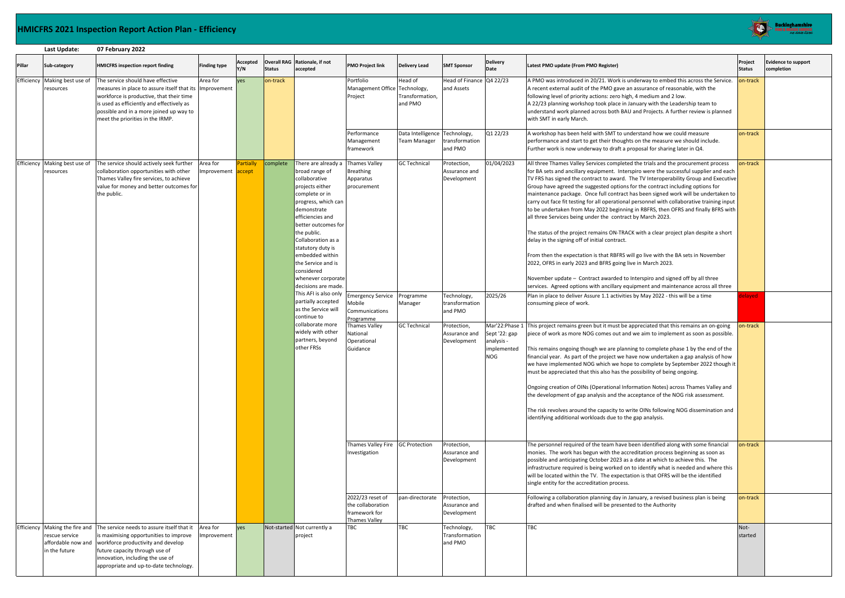#### **HMICFRS 2021 Inspection Report Action Plan - Efficiency**

|            | Last Update:                               | 07 February 2022                                                                                                                                                                                                                                                                             |                         |                     |               |                                                                                                                                                                                                                                                                                                                                                                                                                                                                                                            |                                                                                                                                                                                                   |                                                                                                                                                                                                                                                                                                                                                                                                              |                                                                                                                                        |                                                                                                     |                                                                                                                                                                                                                                                                                                                                                                                                                                                                                                                                                                                                                                                                                                                                                                                                                                                                                                                                                                                                                                                                                                                                                                                                                                                                                                                                                                                                                                                                                                                                                                                                                                                                                                                                                                                                                                                                                                                                                                            |                                |                                          |
|------------|--------------------------------------------|----------------------------------------------------------------------------------------------------------------------------------------------------------------------------------------------------------------------------------------------------------------------------------------------|-------------------------|---------------------|---------------|------------------------------------------------------------------------------------------------------------------------------------------------------------------------------------------------------------------------------------------------------------------------------------------------------------------------------------------------------------------------------------------------------------------------------------------------------------------------------------------------------------|---------------------------------------------------------------------------------------------------------------------------------------------------------------------------------------------------|--------------------------------------------------------------------------------------------------------------------------------------------------------------------------------------------------------------------------------------------------------------------------------------------------------------------------------------------------------------------------------------------------------------|----------------------------------------------------------------------------------------------------------------------------------------|-----------------------------------------------------------------------------------------------------|----------------------------------------------------------------------------------------------------------------------------------------------------------------------------------------------------------------------------------------------------------------------------------------------------------------------------------------------------------------------------------------------------------------------------------------------------------------------------------------------------------------------------------------------------------------------------------------------------------------------------------------------------------------------------------------------------------------------------------------------------------------------------------------------------------------------------------------------------------------------------------------------------------------------------------------------------------------------------------------------------------------------------------------------------------------------------------------------------------------------------------------------------------------------------------------------------------------------------------------------------------------------------------------------------------------------------------------------------------------------------------------------------------------------------------------------------------------------------------------------------------------------------------------------------------------------------------------------------------------------------------------------------------------------------------------------------------------------------------------------------------------------------------------------------------------------------------------------------------------------------------------------------------------------------------------------------------------------------|--------------------------------|------------------------------------------|
| Pillar     | Sub-category                               | <b>HMICFRS inspection report finding</b>                                                                                                                                                                                                                                                     | <b>Finding type</b>     | Accepted<br>Y/N     | <b>Status</b> | Overall RAG Rationale, if not<br>accepted                                                                                                                                                                                                                                                                                                                                                                                                                                                                  | <b>PMO Project link</b>                                                                                                                                                                           | <b>Delivery Lead</b>                                                                                                                                                                                                                                                                                                                                                                                         | <b>SMT Sponsor</b>                                                                                                                     | <b>Delivery</b><br>Date                                                                             | Latest PMO update (From PMO Register)                                                                                                                                                                                                                                                                                                                                                                                                                                                                                                                                                                                                                                                                                                                                                                                                                                                                                                                                                                                                                                                                                                                                                                                                                                                                                                                                                                                                                                                                                                                                                                                                                                                                                                                                                                                                                                                                                                                                      | Project<br><b>Status</b>       | <b>Evidence to support</b><br>completion |
| Efficiency | Making best use of<br>resources            | The service should have effective<br>measures in place to assure itself that its Improvement<br>workforce is productive, that their time<br>is used as efficiently and effectively as<br>possible and in a more joined up way to<br>meet the priorities in the IRMP.                         | Area for                | <b>ves</b>          | on-track      | Head of Finance Q4 22/23<br>Portfolio<br>Head of<br>Management Office<br>Technology,<br>and Assets<br>Transformation,<br>Project<br>and PMO<br>with SMT in early March.                                                                                                                                                                                                                                                                                                                                    |                                                                                                                                                                                                   | A PMO was introduced in 20/21. Work is underway to embed this across the Service.<br>A recent external audit of the PMO gave an assurance of reasonable, with the<br>following level of priority actions: zero high, 4 medium and 2 low.<br>A 22/23 planning workshop took place in January with the Leadership team to<br>understand work planned across both BAU and Projects. A further review is planned | on-track                                                                                                                               |                                                                                                     |                                                                                                                                                                                                                                                                                                                                                                                                                                                                                                                                                                                                                                                                                                                                                                                                                                                                                                                                                                                                                                                                                                                                                                                                                                                                                                                                                                                                                                                                                                                                                                                                                                                                                                                                                                                                                                                                                                                                                                            |                                |                                          |
|            |                                            |                                                                                                                                                                                                                                                                                              |                         |                     |               |                                                                                                                                                                                                                                                                                                                                                                                                                                                                                                            | Performance<br>Management<br>framework                                                                                                                                                            | Data Intelligence<br><b>Team Manager</b>                                                                                                                                                                                                                                                                                                                                                                     | Technology,<br>transformation<br>and PMO                                                                                               | Q1 22/23                                                                                            | A workshop has been held with SMT to understand how we could measure<br>performance and start to get their thoughts on the measure we should include.<br>Further work is now underway to draft a proposal for sharing later in Q4.                                                                                                                                                                                                                                                                                                                                                                                                                                                                                                                                                                                                                                                                                                                                                                                                                                                                                                                                                                                                                                                                                                                                                                                                                                                                                                                                                                                                                                                                                                                                                                                                                                                                                                                                         | on-track                       |                                          |
|            | Efficiency Making best use of<br>resources | The service should actively seek further<br>collaboration opportunities with other<br>Thames Valley fire services, to achieve<br>value for money and better outcomes for<br>the public.                                                                                                      | Area for<br>Improvement | Partially<br>accept | complete      | There are already a<br>broad range of<br>collaborative<br>projects either<br>complete or in<br>progress, which can<br>demonstrate<br>efficiencies and<br>better outcomes for<br>the public.<br>Collaboration as a<br>statutory duty is<br>embedded within<br>the Service and is<br>considered<br>whenever corporate<br>decisions are made.<br>This AFI is also only<br>partially accepted<br>as the Service will<br>continue to<br>collaborate more<br>widely with other<br>partners, beyond<br>other FRSs | <b>Thames Valley</b><br><b>Breathing</b><br>Apparatus<br>procurement<br><b>Emergency Service</b><br>Mobile<br>Communications<br>Programme<br>Thames Valley<br>National<br>Operational<br>Guidance | <b>GC Technical</b><br>Programme<br>Manager<br><b>GC Technical</b>                                                                                                                                                                                                                                                                                                                                           | Protection,<br>Assurance and<br>Development<br>Technology,<br>transformation<br>and PMO<br>Protection,<br>Assurance and<br>Development | 01/04/2023<br>2025/26<br>Mar'22:Phase 1<br>Sept '22: gap<br>analysis -<br>implemented<br><b>NOG</b> | All three Thames Valley Services completed the trials and the procurement process<br>for BA sets and ancillary equipment. Interspiro were the successful supplier and each<br>TV FRS has signed the contract to award. The TV Interoperability Group and Executive<br>Group have agreed the suggested options for the contract including options for<br>maintenance package. Once full contract has been signed work will be undertaken to<br>carry out face fit testing for all operational personnel with collaborative training input<br>to be undertaken from May 2022 beginning in RBFRS, then OFRS and finally BFRS with<br>all three Services being under the contract by March 2023.<br>The status of the project remains ON-TRACK with a clear project plan despite a short<br>delay in the signing off of initial contract.<br>From then the expectation is that RBFRS will go live with the BA sets in November<br>2022, OFRS in early 2023 and BFRS going live in March 2023.<br>November update - Contract awarded to Interspiro and signed off by all three<br>services. Agreed options with ancillary equipment and maintenance across all three<br>Plan in place to deliver Assure 1.1 activities by May 2022 - this will be a time<br>consuming piece of work.<br>This project remains green but it must be appreciated that this remains an on-going<br>piece of work as more NOG comes out and we aim to implement as soon as possible.<br>This remains ongoing though we are planning to complete phase 1 by the end of the<br>financial year. As part of the project we have now undertaken a gap analysis of how<br>we have implemented NOG which we hope to complete by September 2022 though it<br>must be appreciated that this also has the possibility of being ongoing.<br>Ongoing creation of OINs (Operational Information Notes) across Thames Valley and<br>the development of gap analysis and the acceptance of the NOG risk assessment. | on-track<br>elayed<br>on-track |                                          |
|            |                                            |                                                                                                                                                                                                                                                                                              |                         |                     |               |                                                                                                                                                                                                                                                                                                                                                                                                                                                                                                            | Thames Valley Fire GC Protection                                                                                                                                                                  |                                                                                                                                                                                                                                                                                                                                                                                                              | Protection,                                                                                                                            |                                                                                                     | The risk revolves around the capacity to write OINs following NOG dissemination and<br>identifying additional workloads due to the gap analysis.<br>The personnel required of the team have been identified along with some financial                                                                                                                                                                                                                                                                                                                                                                                                                                                                                                                                                                                                                                                                                                                                                                                                                                                                                                                                                                                                                                                                                                                                                                                                                                                                                                                                                                                                                                                                                                                                                                                                                                                                                                                                      | on-track                       |                                          |
|            |                                            |                                                                                                                                                                                                                                                                                              |                         |                     |               |                                                                                                                                                                                                                                                                                                                                                                                                                                                                                                            | Investigation                                                                                                                                                                                     |                                                                                                                                                                                                                                                                                                                                                                                                              | Assurance and<br>Development                                                                                                           |                                                                                                     | monies. The work has begun with the accreditation process beginning as soon as<br>possible and anticipating October 2023 as a date at which to achieve this. The<br>infrastructure required is being worked on to identify what is needed and where this<br>will be located within the TV. The expectation is that OFRS will be the identified<br>single entity for the accreditation process.                                                                                                                                                                                                                                                                                                                                                                                                                                                                                                                                                                                                                                                                                                                                                                                                                                                                                                                                                                                                                                                                                                                                                                                                                                                                                                                                                                                                                                                                                                                                                                             |                                |                                          |
|            |                                            |                                                                                                                                                                                                                                                                                              |                         |                     |               |                                                                                                                                                                                                                                                                                                                                                                                                                                                                                                            | 2022/23 reset of<br>the collaboration<br>framework for<br><b>Thames Valley</b>                                                                                                                    | pan-directorate                                                                                                                                                                                                                                                                                                                                                                                              | Protection,<br>Assurance and<br>Development                                                                                            |                                                                                                     | Following a collaboration planning day in January, a revised business plan is being<br>drafted and when finalised will be presented to the Authority                                                                                                                                                                                                                                                                                                                                                                                                                                                                                                                                                                                                                                                                                                                                                                                                                                                                                                                                                                                                                                                                                                                                                                                                                                                                                                                                                                                                                                                                                                                                                                                                                                                                                                                                                                                                                       | on-track                       |                                          |
|            | rescue service<br>in the future            | Efficiency Making the fire and The service needs to assure itself that it<br>is maximising opportunities to improve<br>affordable now and workforce productivity and develop<br>future capacity through use of<br>innovation, including the use of<br>appropriate and up-to-date technology. | Area for<br>mprovement  | ves                 |               | Not-started Not currently a<br>project                                                                                                                                                                                                                                                                                                                                                                                                                                                                     | TBC                                                                                                                                                                                               | <b>TBC</b>                                                                                                                                                                                                                                                                                                                                                                                                   | Technology,<br>Transformation<br>and PMO                                                                                               | TBC                                                                                                 | <b>TBC</b>                                                                                                                                                                                                                                                                                                                                                                                                                                                                                                                                                                                                                                                                                                                                                                                                                                                                                                                                                                                                                                                                                                                                                                                                                                                                                                                                                                                                                                                                                                                                                                                                                                                                                                                                                                                                                                                                                                                                                                 | Not-<br>started                |                                          |

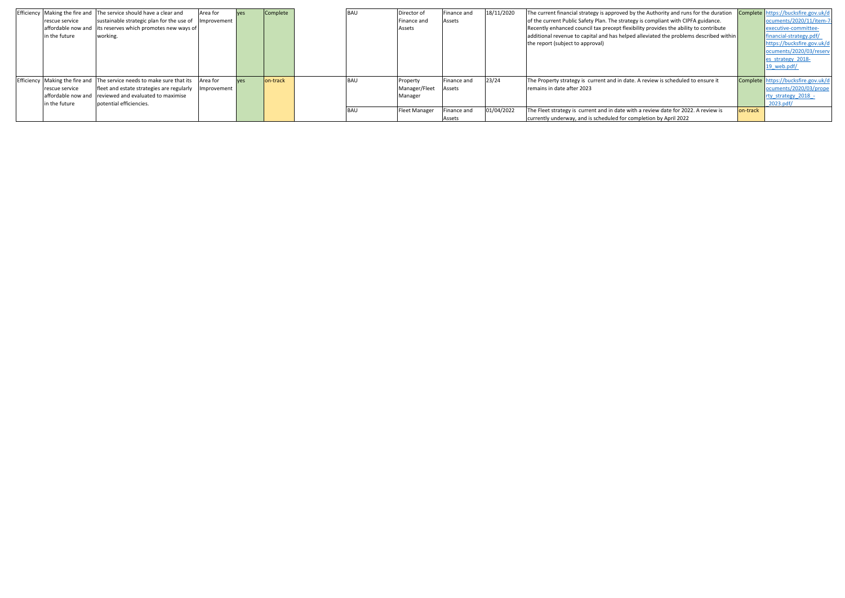|                | Efficiency Making the fire and The service should have a clear and     | Area for    | Complete  | <b>BAU</b> | Director of          | Finance and | 18/11/2020 | The current financial strategy is approved by the Authority and runs for the duration |          | Complete https://bucksfire.gov.uk/d |
|----------------|------------------------------------------------------------------------|-------------|-----------|------------|----------------------|-------------|------------|---------------------------------------------------------------------------------------|----------|-------------------------------------|
| rescue service | sustainable strategic plan for the use of Improvement                  |             |           |            | Finance and          | Assets      |            | of the current Public Safety Plan. The strategy is compliant with CIPFA guidance.     |          | ocuments/2020/11/item-7-            |
|                | affordable now and lits reserves which promotes new ways of            |             |           |            | Assets               |             |            | Recently enhanced council tax precept flexibility provides the ability to contribute  |          | executive-committee-                |
| in the future  | working.                                                               |             |           |            |                      |             |            | additional revenue to capital and has helped alleviated the problems described within |          | financial-strategy.pdf/             |
|                |                                                                        |             |           |            |                      |             |            | the report (subject to approval)                                                      |          | https://bucksfire.gov.uk/d          |
|                |                                                                        |             |           |            |                      |             |            |                                                                                       |          | ocuments/2020/03/reserv             |
|                |                                                                        |             |           |            |                      |             |            |                                                                                       |          | es strategy 2018-                   |
|                |                                                                        |             |           |            |                      |             |            |                                                                                       |          | 19 web.pdf/                         |
|                |                                                                        |             |           |            |                      |             |            |                                                                                       |          |                                     |
|                | Efficiency Making the fire and The service needs to make sure that its | Area for    | lon-track | <b>BAU</b> | Property             | Finance and | 23/24      | The Property strategy is current and in date. A review is scheduled to ensure it      |          | Complete https://bucksfire.gov.uk/c |
| rescue service | fleet and estate strategies are regularly                              | Improvement |           |            | Manager/Fleet        | Assets      |            | remains in date after 2023                                                            |          | ocuments/2020/03/prope              |
|                | affordable now and reviewed and evaluated to maximise                  |             |           |            | Manager              |             |            |                                                                                       |          | rty strategy 2018 -                 |
| in the future  | potential efficiencies.                                                |             |           |            |                      |             |            |                                                                                       |          | 2023.pdf/                           |
|                |                                                                        |             |           | <b>BAU</b> | <b>Fleet Manager</b> | inance and  | 01/04/2022 | The Fleet strategy is current and in date with a review date for 2022. A review is    | on-track |                                     |
|                |                                                                        |             |           |            |                      | Assets      |            | currently underway, and is scheduled for completion by April 2022                     |          |                                     |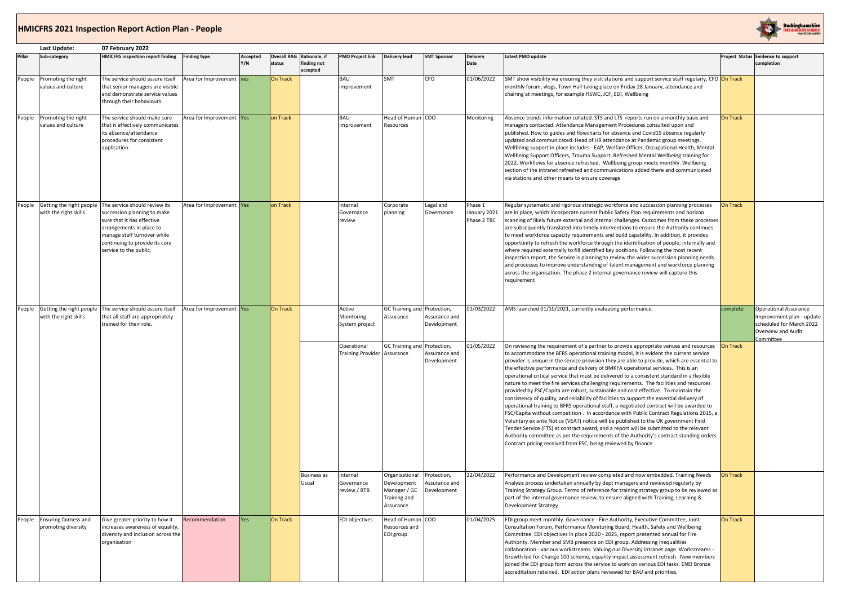### **HMICFRS 2021 Inspection Report Action Plan - People**

|        | Last Update:                                        | 07 February 2022                                                                                                                                                                                                  |                          |                 |                 |                                                      |                                         |                                                                            |                                             |                                        |                                                                                                                                                                                                                                                                                                                                                                                                                                                                                                                                                                                                                                                                                                                                                                                                                                                                                                                                                                                                                                                                                                                                                                                                                                                                                      |                 |                                                                                                                          |
|--------|-----------------------------------------------------|-------------------------------------------------------------------------------------------------------------------------------------------------------------------------------------------------------------------|--------------------------|-----------------|-----------------|------------------------------------------------------|-----------------------------------------|----------------------------------------------------------------------------|---------------------------------------------|----------------------------------------|--------------------------------------------------------------------------------------------------------------------------------------------------------------------------------------------------------------------------------------------------------------------------------------------------------------------------------------------------------------------------------------------------------------------------------------------------------------------------------------------------------------------------------------------------------------------------------------------------------------------------------------------------------------------------------------------------------------------------------------------------------------------------------------------------------------------------------------------------------------------------------------------------------------------------------------------------------------------------------------------------------------------------------------------------------------------------------------------------------------------------------------------------------------------------------------------------------------------------------------------------------------------------------------|-----------------|--------------------------------------------------------------------------------------------------------------------------|
| Pillar | Sub-category                                        | <b>HMICFRS inspection report finding</b>                                                                                                                                                                          | <b>Finding type</b>      | Accepted<br>Y/N | status          | Overall RAG Rationale, if<br>finding not<br>accepted | <b>PMO Project link</b>                 | <b>Delivery lead</b>                                                       | <b>SMT Sponsor</b>                          | <b>Delivery</b><br>Date                | Latest PMO update                                                                                                                                                                                                                                                                                                                                                                                                                                                                                                                                                                                                                                                                                                                                                                                                                                                                                                                                                                                                                                                                                                                                                                                                                                                                    |                 | Project Status Evidence to support<br>completion                                                                         |
| People | Promoting the right<br>values and culture           | The service should assure itself<br>that senior managers are visible<br>and demonstrate service values<br>through their behaviours.                                                                               | Area for Improvement ves |                 | <b>On Track</b> |                                                      | BAU<br>improvement                      | SMT                                                                        | <b>CFO</b>                                  | 01/06/2022                             | SMT show visibility via ensuring they visit stations and support service staff regularly, CFO On Track<br>monthly forum, vlogs, Town Hall taking place on Friday 28 January, attendance and<br>chairing at meetings, for example HSWC, JCF, EDI, Wellbeing                                                                                                                                                                                                                                                                                                                                                                                                                                                                                                                                                                                                                                                                                                                                                                                                                                                                                                                                                                                                                           |                 |                                                                                                                          |
| People | Promoting the right<br>values and culture           | The service should make sure<br>that it effectively communicates<br>its absence/attendance<br>procedures for consistent<br>application.                                                                           | Area for Improvement Yes |                 | on Track        |                                                      | BAU<br>improvement                      | Head of Human COO<br>Resources                                             |                                             | Monitoring                             | Absence trends information collated. STS and LTS reports run on a monthly basis and<br>managers contacted. Attendance Management Procedures consulted upon and<br>published. How to guides and flowcharts for absence and Covid19 absence regularly<br>updated and communicated. Head of HR attendance at Pandemic group meetings.<br>Wellbeing support in place includes - EAP, Welfare Officer, Occupational Health, Mental<br>Wellbeing Support Officers, Trauma Support. Refreshed Mental Wellbeing training for<br>2022. Workflows for absence refreshed. Wellbeing group meets monthly. Wellbeing<br>section of the intranet refreshed and communications added there and communicated<br>via stations and other means to ensure coverage                                                                                                                                                                                                                                                                                                                                                                                                                                                                                                                                      | <b>On Track</b> |                                                                                                                          |
| People | Getting the right people<br>with the right skills   | The service should review its<br>succession planning to make<br>sure that it has effective<br>arrangements in place to<br>manage staff turnover while<br>continuing to provide its core<br>service to the public. | Area for Improvement Yes |                 | on Track        |                                                      | Internal<br>Governance<br>review        | Corporate<br>planning                                                      | Legal and<br>Governance                     | Phase 1<br>January 2021<br>Phase 2 TBC | Regular systematic and rigorous strategic workforce and succession planning processes<br>are in place, which incorporate current Public Safety Plan requirements and horizon<br>scanning of likely future external and internal challenges. Outcomes from these processes<br>are subsequently translated into timely interventions to ensure the Authority continues<br>to meet workforce capacity requirements and build capability. In addition, it provides<br>opportunity to refresh the workforce through the identification of people; internally and<br>where required externally to fill identified key positions. Following the most recent<br>inspection report, the Service is planning to review the wider succession planning needs<br>and processes to improve understanding of talent management and workforce planning<br>across the organisation. The phase 2 internal governance review will capture this<br>requirement                                                                                                                                                                                                                                                                                                                                           | <b>On Track</b> |                                                                                                                          |
| People | with the right skills                               | Getting the right people The service should assure itself<br>that all staff are appropriately<br>trained for their role.                                                                                          | Area for Improvement Yes |                 | <b>On Track</b> |                                                      | Active<br>Monitoring<br>System project  | GC Training and Protection,<br>Assurance                                   | Assurance and<br>Development                | 01/03/2022                             | AMS launched 01/10/2021, currently evaluating performance.<br>complete                                                                                                                                                                                                                                                                                                                                                                                                                                                                                                                                                                                                                                                                                                                                                                                                                                                                                                                                                                                                                                                                                                                                                                                                               |                 | <b>Operational Assurance</b><br>Improvement plan - update<br>scheduled for March 2022<br>Overview and Audit<br>Committee |
|        |                                                     |                                                                                                                                                                                                                   |                          |                 |                 |                                                      | Operational<br><b>Training Provider</b> | GC Training and Protection,<br>Assurance                                   | Assurance and<br>Development                | 01/05/2022                             | On reviewing the requirement of a partner to provide appropriate venues and resources<br>to accommodate the BFRS operational training model, it is evident the current service<br>provider is unique in the service provision they are able to provide, which are essential to<br>the effective performance and delivery of BMKFA operational services. This is an<br>operational critical service that must be delivered to a consistent standard in a flexible<br>nature to meet the fire services challenging requirements. The facilities and resources<br>provided by FSC/Capita are robust, sustainable and cost effective. To maintain the<br>consistency of quality, and reliability of facilities to support the essential delivery of<br>operational training to BFRS operational staff, a negotiated contract will be awarded to<br>FSC/Capita without competition . In accordance with Public Contract Regulations 2015, a<br>Voluntary ex ante Notice (VEAT) notice will be published to the UK government Find<br>Tender Service (FTS) at contract award, and a report will be submitted to the relevant<br>Authority committee as per the requirements of the Authority's contract standing orders.<br>Contract pricing received from FSC, being reviewed by finance. | On Track        |                                                                                                                          |
|        |                                                     |                                                                                                                                                                                                                   |                          |                 |                 | <b>Business as</b><br>Usual                          | Internal<br>Governance<br>review / BTB  | Organisational<br>Development<br>Manager / GC<br>Training and<br>Assurance | Protection,<br>Assurance and<br>Development | 22/04/2022                             | Performance and Development review completed and now embedded. Training Needs<br>Analysis process undertaken annually by dept managers and reviewed regularly by<br>Training Strategy Group. Terms of reference for training strategy group to be reviewed as<br>part of the internal governance review, to ensure aligned with Training, Learning &<br>Development Strategy.                                                                                                                                                                                                                                                                                                                                                                                                                                                                                                                                                                                                                                                                                                                                                                                                                                                                                                        | <b>On Track</b> |                                                                                                                          |
|        | People Ensuring fairness and<br>promoting diversity | Give greater priority to how it<br>increases awareness of equality,<br>diversity and inclusion across the<br>organisation                                                                                         | Recommendation           | <b>Yes</b>      | On Track        |                                                      | <b>EDI</b> objectives                   | Head of Human COO<br>Resources and<br>EDI group                            |                                             | 01/04/2025                             | EDI group meet monthly. Governance - Fire Authority, Executive Committee, Joint<br>Consultation Forum, Performance Monitoring Board, Health, Safety and Wellbeing<br>Committee. EDI objectives in place 2020 - 2025, report presented annual for Fire<br>Authority. Member and SMB presence on EDI group. Addressing Inequalities<br>collaboration - various workstreams. Valuing our Diversity intranet page. Workstreams -<br>Growth bid for Change 100 scheme, equality impact assessment refresh. New members<br>joined the EDI group form across the service to work on various EDI tasks. ENEI Bronze<br>accreditation retained. EDI action plans reviewed for BAU and priorities.                                                                                                                                                                                                                                                                                                                                                                                                                                                                                                                                                                                             | <b>On Track</b> |                                                                                                                          |

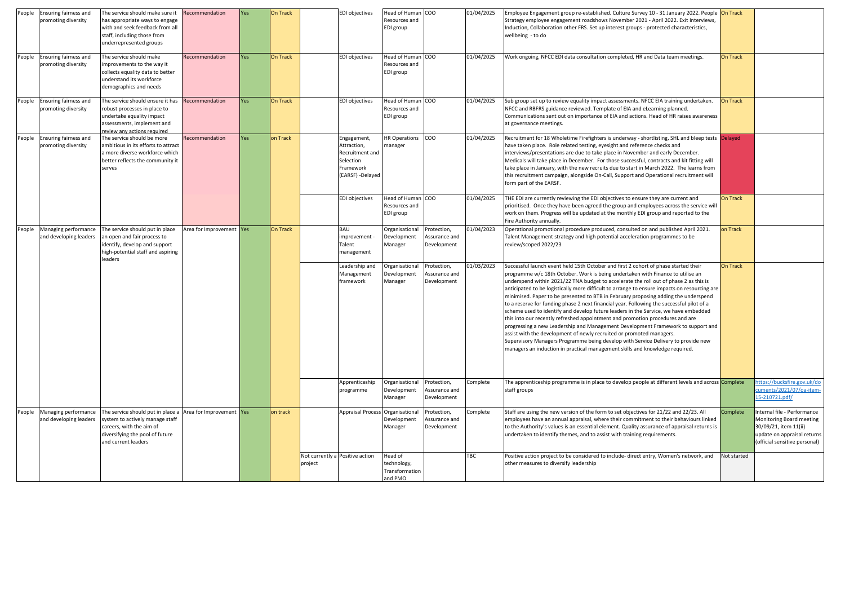| People<br>People | Ensuring fairness and<br>promoting diversity<br><b>Ensuring fairness and</b> | The service should make sure it<br>has appropriate ways to engage<br>with and seek feedback from all<br>staff, including those from<br>underrepresented groups<br>The service should make | Recommendation<br>Recommendation | <b>Yes</b><br><b>Yes</b> | On Track<br><b>On Track</b> |         | EDI objectives<br><b>EDI</b> objectives                                                     | Head of Human COO<br>Resources and<br>EDI group<br>Head of Human COO |                                             | 01/04/2025<br>01/04/2025 | Employee Engagement group re-established. Culture Survey 10 - 31 January 2022. People On Track<br>Strategy employee engagement roadshows November 2021 - April 2022. Exit Interviews,<br>Induction, Collaboration other FRS. Set up interest groups - protected characteristics,<br>wellbeing - to do<br>Work ongoing, NFCC EDI data consultation completed, HR and Data team meetings.                                                                                                                                                                                                                                                                                                                                                                                                                                                                                                                                                                                                                                                                      | On Track    |                                                                                                                                                  |
|------------------|------------------------------------------------------------------------------|-------------------------------------------------------------------------------------------------------------------------------------------------------------------------------------------|----------------------------------|--------------------------|-----------------------------|---------|---------------------------------------------------------------------------------------------|----------------------------------------------------------------------|---------------------------------------------|--------------------------|--------------------------------------------------------------------------------------------------------------------------------------------------------------------------------------------------------------------------------------------------------------------------------------------------------------------------------------------------------------------------------------------------------------------------------------------------------------------------------------------------------------------------------------------------------------------------------------------------------------------------------------------------------------------------------------------------------------------------------------------------------------------------------------------------------------------------------------------------------------------------------------------------------------------------------------------------------------------------------------------------------------------------------------------------------------|-------------|--------------------------------------------------------------------------------------------------------------------------------------------------|
|                  | promoting diversity                                                          | improvements to the way it<br>collects equality data to better<br>understand its workforce<br>demographics and needs                                                                      |                                  |                          |                             |         |                                                                                             | Resources and<br>EDI group                                           |                                             |                          |                                                                                                                                                                                                                                                                                                                                                                                                                                                                                                                                                                                                                                                                                                                                                                                                                                                                                                                                                                                                                                                              |             |                                                                                                                                                  |
| People           | <b>Ensuring fairness and</b><br>promoting diversity                          | The service should ensure it has<br>robust processes in place to<br>undertake equality impact<br>assessments, implement and<br>review any actions required                                | Recommendation                   | <b>Yes</b>               | <b>On Track</b>             |         | <b>EDI</b> objectives                                                                       | Head of Human COO<br>Resources and<br>EDI group                      |                                             | 01/04/2025               | Sub group set up to review equality impact assessments. NFCC EIA training undertaken.<br>NFCC and RBFRS guidance reviewed. Template of EIA and eLearning planned.<br>Communications sent out on importance of EIA and actions. Head of HR raises awareness<br>at governance meetings.                                                                                                                                                                                                                                                                                                                                                                                                                                                                                                                                                                                                                                                                                                                                                                        | On Track    |                                                                                                                                                  |
| People           | Ensuring fairness and<br>promoting diversity                                 | The service should be more<br>ambitious in its efforts to attract<br>a more diverse workforce which<br>better reflects the community it<br>serves                                         | Recommendation                   | <b>Yes</b>               | on Track                    |         | Engagement,<br>Attraction,<br>Recruitment and<br>Selection<br>Framework<br>(EARSF) -Delayed | <b>HR Operations</b><br>manager                                      | <b>COO</b>                                  | 01/04/2025               | Recruitment for 18 Wholetime Firefighters is underway - shortlisting, SHL and bleep tests Delayed<br>have taken place. Role related testing, eyesight and reference checks and<br>interviews/presentations are due to take place in November and early December.<br>Medicals will take place in December. For those successful, contracts and kit fitting will<br>take place in January, with the new recruits due to start in March 2022. The learns from<br>this recruitment campaign, alongside On-Call, Support and Operational recruitment will<br>form part of the EARSF.                                                                                                                                                                                                                                                                                                                                                                                                                                                                              |             |                                                                                                                                                  |
|                  |                                                                              |                                                                                                                                                                                           |                                  |                          |                             |         | <b>EDI</b> objectives                                                                       | Head of Human COO<br>Resources and<br>EDI group                      |                                             | 01/04/2025               | THE EDI are currently reviewing the EDI objectives to ensure they are current and<br>prioritised. Once they have been agreed the group and employees across the service will<br>work on them. Progress will be updated at the monthly EDI group and reported to the<br>Fire Authority annually.                                                                                                                                                                                                                                                                                                                                                                                                                                                                                                                                                                                                                                                                                                                                                              | On Track    |                                                                                                                                                  |
|                  | People Managing performance<br>and developing leaders                        | The service should put in place<br>an open and fair process to<br>identify, develop and support<br>high-potential staff and aspiring<br>leaders                                           | Area for Improvement Yes         |                          | On Track                    |         | <b>BAU</b><br>improvement<br>Talent<br>management                                           | Organisational<br>Development<br>Manager                             | Protection,<br>Assurance and<br>Development | 01/04/2023               | Operational promotional procedure produced, consulted on and published April 2021.<br>Talent Management strategy and high potential acceleration programmes to be<br>review/scoped 2022/23                                                                                                                                                                                                                                                                                                                                                                                                                                                                                                                                                                                                                                                                                                                                                                                                                                                                   | on Track    |                                                                                                                                                  |
|                  |                                                                              |                                                                                                                                                                                           |                                  |                          |                             |         | Leadership and<br>Management<br>framework                                                   | <b>Organisational</b><br>Development<br>Manager                      | Protection,<br>Assurance and<br>Development | 01/03/2023               | Successful launch event held 15th October and first 2 cohort of phase started their<br>programme w/c 18th October. Work is being undertaken with Finance to utilise an<br>underspend within 2021/22 TNA budget to accelerate the roll out of phase 2 as this is<br>anticipated to be logistically more difficult to arrange to ensure impacts on resourcing are<br>minimised. Paper to be presented to BTB in February proposing adding the underspend<br>to a reserve for funding phase 2 next financial year. Following the successful pilot of a<br>scheme used to identify and develop future leaders in the Service, we have embedded<br>this into our recently refreshed appointment and promotion procedures and are<br>progressing a new Leadership and Management Development Framework to support and<br>assist with the development of newly recruited or promoted managers.<br>Supervisory Managers Programme being develop with Service Delivery to provide new<br>managers an induction in practical management skills and knowledge required. | On Track    |                                                                                                                                                  |
|                  |                                                                              |                                                                                                                                                                                           |                                  |                          |                             |         | Apprenticeship<br>programme                                                                 | Organisational<br>Development<br>Manager                             | Protection,<br>Assurance and<br>Development | Complete                 | The apprenticeship programme is in place to develop people at different levels and across Complete<br>staff groups                                                                                                                                                                                                                                                                                                                                                                                                                                                                                                                                                                                                                                                                                                                                                                                                                                                                                                                                           |             | https://bucksfire.gov.uk/do<br>cuments/2021/07/oa-item-<br>15-210721.pdf/                                                                        |
| People           | Managing performance<br>and developing leaders                               | The service should put in place a Area for Improvement Yes<br>system to actively manage staff<br>careers, with the aim of<br>diversifying the pool of future<br>and current leaders       |                                  |                          | on track                    |         | Appraisal Process Organisational                                                            | Development<br>Manager                                               | Protection,<br>Assurance and<br>Development | Complete                 | Staff are using the new version of the form to set objectives for 21/22 and 22/23. All<br>employees have an annual appraisal, where their commitment to their behaviours linked<br>to the Authority's values is an essential element. Quality assurance of appraisal returns is<br>undertaken to identify themes, and to assist with training requirements.                                                                                                                                                                                                                                                                                                                                                                                                                                                                                                                                                                                                                                                                                                  | Complete    | Internal file - Performance<br>Monitoring Board meeting<br>30/09/21, item 11(ii)<br>update on appraisal returns<br>(official sensitive personal) |
|                  |                                                                              |                                                                                                                                                                                           |                                  |                          |                             | project | Not currently a Positive action                                                             | Head of<br>technology,<br>Transformation<br>and PMO                  |                                             | <b>TBC</b>               | Positive action project to be considered to include- direct entry, Women's network, and<br>other measures to diversify leadership                                                                                                                                                                                                                                                                                                                                                                                                                                                                                                                                                                                                                                                                                                                                                                                                                                                                                                                            | Not started |                                                                                                                                                  |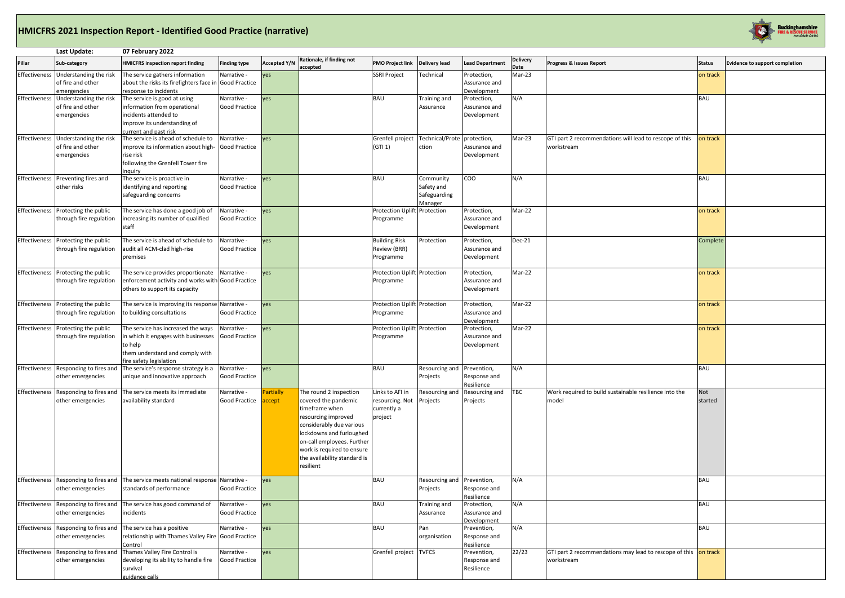### **HMICFRS 2021 Inspection Report - Identified Good Practice (narrative)**

| Progress & Issues Report                                              | <b>Status</b>  | Evidence to support completion |
|-----------------------------------------------------------------------|----------------|--------------------------------|
|                                                                       | on track       |                                |
|                                                                       | <b>BAU</b>     |                                |
|                                                                       |                |                                |
| GTI part 2 recommendations will lead to rescope of this<br>workstream | on track       |                                |
|                                                                       |                |                                |
|                                                                       | <b>BAU</b>     |                                |
|                                                                       | on track       |                                |
|                                                                       | Complete       |                                |
|                                                                       | on track       |                                |
|                                                                       | on track       |                                |
|                                                                       | on track       |                                |
|                                                                       | <b>BAU</b>     |                                |
| Work required to build sustainable resilience into the<br>model       | Not<br>started |                                |
|                                                                       |                |                                |
|                                                                       | <b>BAU</b>     |                                |
|                                                                       | <b>BAU</b>     |                                |
|                                                                       | <b>BAU</b>     |                                |
| GTI part 2 recommendations may lead to rescope of this<br>workstream  | on track       |                                |
|                                                                       |                |                                |

|               | Last Update:                                                             | 07 February 2022                                                                                                                                   |                                     |                     |                                                                                                                                                                                                                                                          |                                                              |                                                    |                                             |                         |                                                                               |                |
|---------------|--------------------------------------------------------------------------|----------------------------------------------------------------------------------------------------------------------------------------------------|-------------------------------------|---------------------|----------------------------------------------------------------------------------------------------------------------------------------------------------------------------------------------------------------------------------------------------------|--------------------------------------------------------------|----------------------------------------------------|---------------------------------------------|-------------------------|-------------------------------------------------------------------------------|----------------|
| Pillar        | Sub-category                                                             | <b>HMICFRS inspection report finding</b>                                                                                                           | <b>Finding type</b>                 | <b>Accepted Y/N</b> | Rationale, if finding not<br>accepted                                                                                                                                                                                                                    | <b>PMO Project link</b>                                      | <b>Delivery lead</b>                               | <b>Lead Department</b>                      | <b>Delivery</b><br>Date | Progress & Issues Report                                                      | <b>Status</b>  |
|               | Effectiveness Understanding the risk<br>of fire and other<br>emergencies | The service gathers information<br>about the risks its firefighters face in Good Practice<br>response to incidents                                 | Narrative -                         | yes                 |                                                                                                                                                                                                                                                          | <b>SSRI Project</b>                                          | Technical                                          | Protection,<br>Assurance and<br>Development | Mar-23                  |                                                                               | on track       |
|               | Effectiveness Understanding the risk<br>of fire and other<br>emergencies | The service is good at using<br>information from operational<br>incidents attended to<br>improve its understanding of<br>current and past risk     | Narrative -<br><b>Good Practice</b> | yes                 |                                                                                                                                                                                                                                                          | <b>BAU</b>                                                   | Training and<br>Assurance                          | Protection,<br>Assurance and<br>Development | N/A                     |                                                                               | <b>BAU</b>     |
|               | Effectiveness Understanding the risk<br>of fire and other<br>emergencies | The service is ahead of schedule to<br>improve its information about high-<br>rise risk<br>following the Grenfell Tower fire<br>inguiry            | Narrative -<br><b>Good Practice</b> | yes                 |                                                                                                                                                                                                                                                          | Grenfell project<br>(GTI 1)                                  | Technical/Prote<br>ction                           | protection,<br>Assurance and<br>Development | Mar-23                  | GTI part 2 recommendations will lead to rescope of this<br>workstream         | on track       |
| Effectiveness | Preventing fires and<br>other risks                                      | The service is proactive in<br>identifying and reporting<br>safeguarding concerns                                                                  | Narrative -<br><b>Good Practice</b> | yes                 |                                                                                                                                                                                                                                                          | <b>BAU</b>                                                   | Community<br>Safety and<br>Safeguarding<br>Manager | <b>COO</b>                                  | N/A                     |                                                                               | <b>BAU</b>     |
| Effectiveness | Protecting the public<br>through fire regulation                         | The service has done a good job of<br>increasing its number of qualified<br>staff                                                                  | Narrative -<br><b>Good Practice</b> | ves                 |                                                                                                                                                                                                                                                          | <b>Protection Uplift</b><br>Programme                        | Protection                                         | Protection,<br>Assurance and<br>Development | Mar-22                  |                                                                               | on track       |
| Effectiveness | Protecting the public<br>through fire regulation                         | The service is ahead of schedule to<br>audit all ACM-clad high-rise<br>premises                                                                    | Narrative -<br><b>Good Practice</b> | yes                 |                                                                                                                                                                                                                                                          | <b>Building Risk</b><br>Review (BRR)<br>Programme            | Protection                                         | Protection,<br>Assurance and<br>Development | Dec-21                  |                                                                               | Complete       |
| Effectiveness | Protecting the public<br>through fire regulation                         | The service provides proportionate<br>enforcement activity and works with Good Practice<br>others to support its capacity                          | Narrative -                         | yes                 |                                                                                                                                                                                                                                                          | Protection Uplift Protection<br>Programme                    |                                                    | Protection,<br>Assurance and<br>Development | Mar-22                  |                                                                               | on track       |
|               | Effectiveness Protecting the public<br>through fire regulation           | The service is improving its response Narrative -<br>to building consultations                                                                     | <b>Good Practice</b>                | yes                 |                                                                                                                                                                                                                                                          | Protection Uplift Protection<br>Programme                    |                                                    | Protection,<br>Assurance and<br>Development | Mar-22                  |                                                                               | on track       |
| Effectiveness | Protecting the public<br>through fire regulation                         | The service has increased the ways<br>in which it engages with businesses<br>to help<br>them understand and comply with<br>fire safety legislation | Narrative -<br><b>Good Practice</b> | yes                 |                                                                                                                                                                                                                                                          | Protection Uplift Protection<br>Programme                    |                                                    | Protection,<br>Assurance and<br>Development | Mar-22                  |                                                                               | on track       |
|               | other emergencies                                                        | Effectiveness Responding to fires and The service's response strategy is a<br>unique and innovative approach                                       | Narrative -<br><b>Good Practice</b> | yes                 |                                                                                                                                                                                                                                                          | <b>BAU</b>                                                   | Resourcing and Prevention,<br>Projects             | Response and<br>Resilience                  | N/A                     |                                                                               | <b>BAU</b>     |
| Effectiveness | Responding to fires and<br>other emergencies                             | The service meets its immediate<br>availability standard                                                                                           | Narrative -<br><b>Good Practice</b> | Partially<br>accept | The round 2 inspection<br>covered the pandemic<br>timeframe when<br>resourcing improved<br>considerably due various<br>lockdowns and furloughed<br>on-call employees. Further<br>work is required to ensure<br>the availability standard is<br>resilient | Links to AFI in<br>resourcing. Not<br>currently a<br>project | Resourcing and<br>Projects                         | Resourcing and<br>Projects                  | TBC                     | Work required to build sustainable resilience into the<br>model               | Not<br>started |
|               | other emergencies                                                        | Effectiveness Responding to fires and The service meets national response Narrative -<br>standards of performance                                  | <b>Good Practice</b>                | ves                 |                                                                                                                                                                                                                                                          | <b>BAU</b>                                                   | Resourcing and<br>Projects                         | Prevention,<br>Response and<br>Resilience   | N/A                     |                                                                               | <b>BAU</b>     |
|               | Effectiveness Responding to fires and<br>other emergencies               | The service has good command of<br>incidents                                                                                                       | Narrative -<br><b>Good Practice</b> | yes                 |                                                                                                                                                                                                                                                          | <b>BAU</b>                                                   | Training and<br>Assurance                          | Protection,<br>Assurance and<br>Development | N/A                     |                                                                               | <b>BAU</b>     |
| Effectiveness | Responding to fires and<br>other emergencies                             | The service has a positive<br>relationship with Thames Valley Fire Good Practice<br>Control                                                        | Narrative -                         | yes                 |                                                                                                                                                                                                                                                          | <b>BAU</b>                                                   | Pan<br>organisation                                | Prevention,<br>Response and<br>Resilience   | N/A                     |                                                                               | <b>BAU</b>     |
|               | other emergencies                                                        | Effectiveness Responding to fires and Thames Valley Fire Control is<br>developing its ability to handle fire<br>survival<br>guidance calls         | Narrative -<br><b>Good Practice</b> | yes                 |                                                                                                                                                                                                                                                          | Grenfell project                                             | <b>TVFCS</b>                                       | Prevention,<br>Response and<br>Resilience   | 22/23                   | GTI part 2 recommendations may lead to rescope of this on track<br>workstream |                |